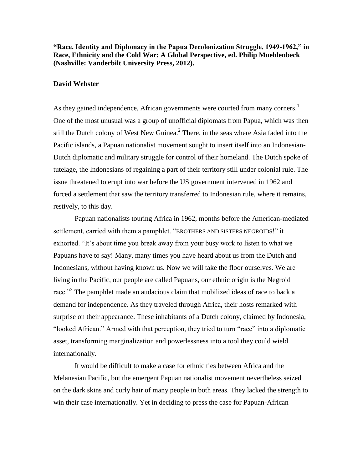**"Race, Identity and Diplomacy in the Papua Decolonization Struggle, 1949-1962," in Race, Ethnicity and the Cold War: A Global Perspective, ed. Philip Muehlenbeck (Nashville: Vanderbilt University Press, 2012).**

### **David Webster**

As they gained independence, African governments were courted from many corners.<sup>1</sup> One of the most unusual was a group of unofficial diplomats from Papua, which was then still the Dutch colony of West New Guinea. $^2$  There, in the seas where Asia faded into the Pacific islands, a Papuan nationalist movement sought to insert itself into an Indonesian-Dutch diplomatic and military struggle for control of their homeland. The Dutch spoke of tutelage, the Indonesians of regaining a part of their territory still under colonial rule. The issue threatened to erupt into war before the US government intervened in 1962 and forced a settlement that saw the territory transferred to Indonesian rule, where it remains, restively, to this day.

Papuan nationalists touring Africa in 1962, months before the American-mediated settlement, carried with them a pamphlet. "BROTHERS AND SISTERS NEGROIDS!" it exhorted. "It's about time you break away from your busy work to listen to what we Papuans have to say! Many, many times you have heard about us from the Dutch and Indonesians, without having known us. Now we will take the floor ourselves. We are living in the Pacific, our people are called Papuans, our ethnic origin is the Negroid race."<sup>3</sup> The pamphlet made an audacious claim that mobilized ideas of race to back a demand for independence. As they traveled through Africa, their hosts remarked with surprise on their appearance. These inhabitants of a Dutch colony, claimed by Indonesia, "looked African." Armed with that perception, they tried to turn "race" into a diplomatic asset, transforming marginalization and powerlessness into a tool they could wield internationally.

It would be difficult to make a case for ethnic ties between Africa and the Melanesian Pacific, but the emergent Papuan nationalist movement nevertheless seized on the dark skins and curly hair of many people in both areas. They lacked the strength to win their case internationally. Yet in deciding to press the case for Papuan-African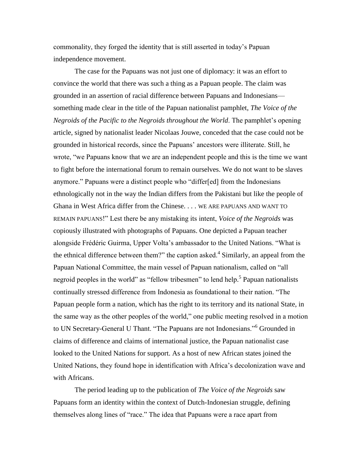commonality, they forged the identity that is still asserted in today's Papuan independence movement.

The case for the Papuans was not just one of diplomacy: it was an effort to convince the world that there was such a thing as a Papuan people. The claim was grounded in an assertion of racial difference between Papuans and Indonesians something made clear in the title of the Papuan nationalist pamphlet, *The Voice of the Negroids of the Pacific to the Negroids throughout the World*. The pamphlet's opening article, signed by nationalist leader Nicolaas Jouwe, conceded that the case could not be grounded in historical records, since the Papuans' ancestors were illiterate. Still, he wrote, "we Papuans know that we are an independent people and this is the time we want to fight before the international forum to remain ourselves. We do not want to be slaves anymore." Papuans were a distinct people who "differ[ed] from the Indonesians ethnologically not in the way the Indian differs from the Pakistani but like the people of Ghana in West Africa differ from the Chinese. . . . WE ARE PAPUANS AND WANT TO REMAIN PAPUANS!" Lest there be any mistaking its intent, *Voice of the Negroids* was copiously illustrated with photographs of Papuans. One depicted a Papuan teacher alongside Frédéric Guirma, Upper Volta's ambassador to the United Nations. "What is the ethnical difference between them?" the caption asked. $4$  Similarly, an appeal from the Papuan National Committee, the main vessel of Papuan nationalism, called on "all negroid peoples in the world" as "fellow tribesmen" to lend help.<sup>5</sup> Papuan nationalists continually stressed difference from Indonesia as foundational to their nation. "The Papuan people form a nation, which has the right to its territory and its national State, in the same way as the other peoples of the world," one public meeting resolved in a motion to UN Secretary-General U Thant. "The Papuans are not Indonesians."<sup>6</sup> Grounded in claims of difference and claims of international justice, the Papuan nationalist case looked to the United Nations for support. As a host of new African states joined the United Nations, they found hope in identification with Africa's decolonization wave and with Africans.

The period leading up to the publication of *The Voice of the Negroids* saw Papuans form an identity within the context of Dutch-Indonesian struggle, defining themselves along lines of "race." The idea that Papuans were a race apart from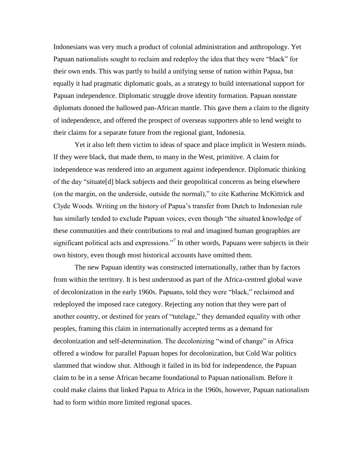Indonesians was very much a product of colonial administration and anthropology. Yet Papuan nationalists sought to reclaim and redeploy the idea that they were "black" for their own ends. This was partly to build a unifying sense of nation within Papua, but equally it had pragmatic diplomatic goals, as a strategy to build international support for Papuan independence. Diplomatic struggle drove identity formation. Papuan nonstate diplomats donned the hallowed pan-African mantle. This gave them a claim to the dignity of independence, and offered the prospect of overseas supporters able to lend weight to their claims for a separate future from the regional giant, Indonesia.

Yet it also left them victim to ideas of space and place implicit in Western minds. If they were black, that made them, to many in the West, primitive. A claim for independence was rendered into an argument against independence. Diplomatic thinking of the day "situate[d] black subjects and their geopolitical concerns as being elsewhere (on the margin, on the underside, outside the normal)," to cite Katherine McKittrick and Clyde Woods. Writing on the history of Papua's transfer from Dutch to Indonesian rule has similarly tended to exclude Papuan voices, even though "the situated knowledge of these communities and their contributions to real and imagined human geographies are significant political acts and expressions."<sup>7</sup> In other words, Papuans were subjects in their own history, even though most historical accounts have omitted them.

The new Papuan identity was constructed internationally, rather than by factors from within the territory. It is best understood as part of the Africa-centred global wave of decolonization in the early 1960s. Papuans, told they were "black," reclaimed and redeployed the imposed race category. Rejecting any notion that they were part of another country, or destined for years of "tutelage," they demanded equality with other peoples, framing this claim in internationally accepted terms as a demand for decolonization and self-determination. The decolonizing "wind of change" in Africa offered a window for parallel Papuan hopes for decolonization, but Cold War politics slammed that window shut. Although it failed in its bid for independence, the Papuan claim to be in a sense African became foundational to Papuan nationalism. Before it could make claims that linked Papua to Africa in the 1960s, however, Papuan nationalism had to form within more limited regional spaces.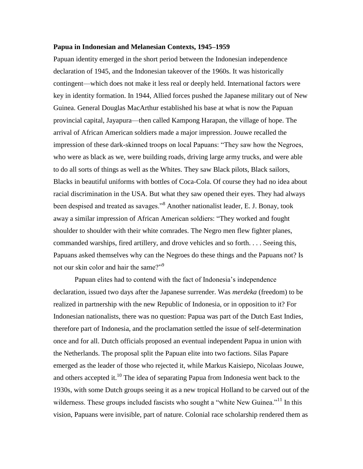### **Papua in Indonesian and Melanesian Contexts, 1945–1959**

Papuan identity emerged in the short period between the Indonesian independence declaration of 1945, and the Indonesian takeover of the 1960s. It was historically contingent—which does not make it less real or deeply held. International factors were key in identity formation. In 1944, Allied forces pushed the Japanese military out of New Guinea. General Douglas MacArthur established his base at what is now the Papuan provincial capital, Jayapura—then called Kampong Harapan, the village of hope. The arrival of African American soldiers made a major impression. Jouwe recalled the impression of these dark-skinned troops on local Papuans: "They saw how the Negroes, who were as black as we, were building roads, driving large army trucks, and were able to do all sorts of things as well as the Whites. They saw Black pilots, Black sailors, Blacks in beautiful uniforms with bottles of Coca-Cola. Of course they had no idea about racial discrimination in the USA. But what they saw opened their eyes. They had always been despised and treated as savages."<sup>8</sup> Another nationalist leader, E. J. Bonay, took away a similar impression of African American soldiers: "They worked and fought shoulder to shoulder with their white comrades. The Negro men flew fighter planes, commanded warships, fired artillery, and drove vehicles and so forth. . . . Seeing this, Papuans asked themselves why can the Negroes do these things and the Papuans not? Is not our skin color and hair the same?"<sup>9</sup>

Papuan elites had to contend with the fact of Indonesia's independence declaration, issued two days after the Japanese surrender. Was *merdeka* (freedom) to be realized in partnership with the new Republic of Indonesia, or in opposition to it? For Indonesian nationalists, there was no question: Papua was part of the Dutch East Indies, therefore part of Indonesia, and the proclamation settled the issue of self-determination once and for all. Dutch officials proposed an eventual independent Papua in union with the Netherlands. The proposal split the Papuan elite into two factions. Silas Papare emerged as the leader of those who rejected it, while Markus Kaisiepo, Nicolaas Jouwe, and others accepted it.<sup>10</sup> The idea of separating Papua from Indonesia went back to the 1930s, with some Dutch groups seeing it as a new tropical Holland to be carved out of the wilderness. These groups included fascists who sought a "white New Guinea."<sup>11</sup> In this vision, Papuans were invisible, part of nature. Colonial race scholarship rendered them as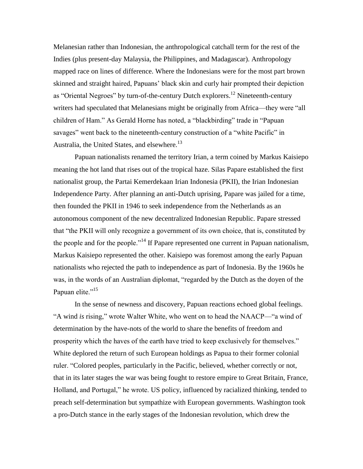Melanesian rather than Indonesian, the anthropological catchall term for the rest of the Indies (plus present-day Malaysia, the Philippines, and Madagascar). Anthropology mapped race on lines of difference. Where the Indonesians were for the most part brown skinned and straight haired, Papuans' black skin and curly hair prompted their depiction as "Oriental Negroes" by turn-of-the-century Dutch explorers.<sup>12</sup> Nineteenth-century writers had speculated that Melanesians might be originally from Africa—they were "all children of Ham." As Gerald Horne has noted, a "blackbirding" trade in "Papuan savages" went back to the nineteenth-century construction of a "white Pacific" in Australia, the United States, and elsewhere.<sup>13</sup>

Papuan nationalists renamed the territory Irian, a term coined by Markus Kaisiepo meaning the hot land that rises out of the tropical haze. Silas Papare established the first nationalist group, the Partai Kemerdekaan Irian Indonesia (PKII), the Irian Indonesian Independence Party. After planning an anti-Dutch uprising, Papare was jailed for a time, then founded the PKII in 1946 to seek independence from the Netherlands as an autonomous component of the new decentralized Indonesian Republic. Papare stressed that "the PKII will only recognize a government of its own choice, that is, constituted by the people and for the people."<sup>14</sup> If Papare represented one current in Papuan nationalism, Markus Kaisiepo represented the other. Kaisiepo was foremost among the early Papuan nationalists who rejected the path to independence as part of Indonesia. By the 1960s he was, in the words of an Australian diplomat, "regarded by the Dutch as the doyen of the Papuan elite."<sup>15</sup>

In the sense of newness and discovery, Papuan reactions echoed global feelings. "A wind *is* rising," wrote Walter White, who went on to head the NAACP—"a wind of determination by the have-nots of the world to share the benefits of freedom and prosperity which the haves of the earth have tried to keep exclusively for themselves." White deplored the return of such European holdings as Papua to their former colonial ruler. "Colored peoples, particularly in the Pacific, believed, whether correctly or not, that in its later stages the war was being fought to restore empire to Great Britain, France, Holland, and Portugal," he wrote. US policy, influenced by racialized thinking, tended to preach self-determination but sympathize with European governments. Washington took a pro-Dutch stance in the early stages of the Indonesian revolution, which drew the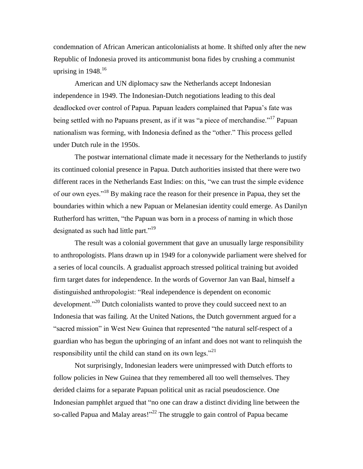condemnation of African American anticolonialists at home. It shifted only after the new Republic of Indonesia proved its anticommunist bona fides by crushing a communist uprising in  $1948$ <sup>16</sup>

American and UN diplomacy saw the Netherlands accept Indonesian independence in 1949. The Indonesian-Dutch negotiations leading to this deal deadlocked over control of Papua. Papuan leaders complained that Papua's fate was being settled with no Papuans present, as if it was "a piece of merchandise."<sup>17</sup> Papuan nationalism was forming, with Indonesia defined as the "other." This process gelled under Dutch rule in the 1950s.

The postwar international climate made it necessary for the Netherlands to justify its continued colonial presence in Papua. Dutch authorities insisted that there were two different races in the Netherlands East Indies: on this, "we can trust the simple evidence of our own eyes."<sup>18</sup> By making race the reason for their presence in Papua, they set the boundaries within which a new Papuan or Melanesian identity could emerge. As Danilyn Rutherford has written, "the Papuan was born in a process of naming in which those designated as such had little part."<sup>19</sup>

The result was a colonial government that gave an unusually large responsibility to anthropologists. Plans drawn up in 1949 for a colonywide parliament were shelved for a series of local councils. A gradualist approach stressed political training but avoided firm target dates for independence. In the words of Governor Jan van Baal, himself a distinguished anthropologist: "Real independence is dependent on economic development."<sup>20</sup> Dutch colonialists wanted to prove they could succeed next to an Indonesia that was failing. At the United Nations, the Dutch government argued for a "sacred mission" in West New Guinea that represented "the natural self-respect of a guardian who has begun the upbringing of an infant and does not want to relinquish the responsibility until the child can stand on its own legs."<sup>21</sup>

Not surprisingly, Indonesian leaders were unimpressed with Dutch efforts to follow policies in New Guinea that they remembered all too well themselves. They derided claims for a separate Papuan political unit as racial pseudoscience. One Indonesian pamphlet argued that "no one can draw a distinct dividing line between the so-called Papua and Malay areas!"<sup>22</sup> The struggle to gain control of Papua became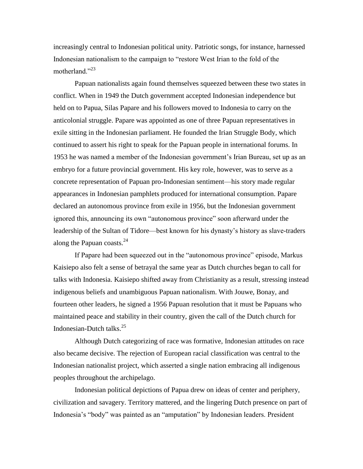increasingly central to Indonesian political unity. Patriotic songs, for instance, harnessed Indonesian nationalism to the campaign to "restore West Irian to the fold of the motherland."<sup>23</sup>

Papuan nationalists again found themselves squeezed between these two states in conflict. When in 1949 the Dutch government accepted Indonesian independence but held on to Papua, Silas Papare and his followers moved to Indonesia to carry on the anticolonial struggle. Papare was appointed as one of three Papuan representatives in exile sitting in the Indonesian parliament. He founded the Irian Struggle Body, which continued to assert his right to speak for the Papuan people in international forums. In 1953 he was named a member of the Indonesian government's Irian Bureau, set up as an embryo for a future provincial government. His key role, however, was to serve as a concrete representation of Papuan pro-Indonesian sentiment—his story made regular appearances in Indonesian pamphlets produced for international consumption. Papare declared an autonomous province from exile in 1956, but the Indonesian government ignored this, announcing its own "autonomous province" soon afterward under the leadership of the Sultan of Tidore—best known for his dynasty's history as slave-traders along the Papuan coasts. $^{24}$ 

If Papare had been squeezed out in the "autonomous province" episode, Markus Kaisiepo also felt a sense of betrayal the same year as Dutch churches began to call for talks with Indonesia. Kaisiepo shifted away from Christianity as a result, stressing instead indigenous beliefs and unambiguous Papuan nationalism. With Jouwe, Bonay, and fourteen other leaders, he signed a 1956 Papuan resolution that it must be Papuans who maintained peace and stability in their country, given the call of the Dutch church for Indonesian-Dutch talks. $25$ 

Although Dutch categorizing of race was formative, Indonesian attitudes on race also became decisive. The rejection of European racial classification was central to the Indonesian nationalist project, which asserted a single nation embracing all indigenous peoples throughout the archipelago.

Indonesian political depictions of Papua drew on ideas of center and periphery, civilization and savagery. Territory mattered, and the lingering Dutch presence on part of Indonesia's "body" was painted as an "amputation" by Indonesian leaders. President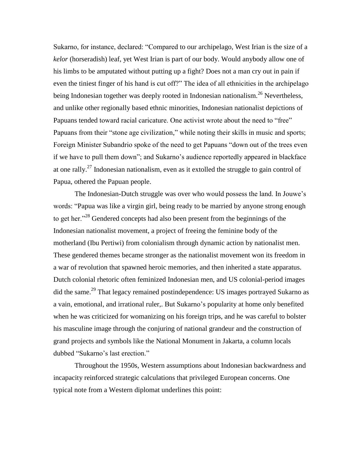Sukarno, for instance, declared: "Compared to our archipelago, West Irian is the size of a *kelor* (horseradish) leaf, yet West Irian is part of our body. Would anybody allow one of his limbs to be amputated without putting up a fight? Does not a man cry out in pain if even the tiniest finger of his hand is cut off?" The idea of all ethnicities in the archipelago being Indonesian together was deeply rooted in Indonesian nationalism.<sup>26</sup> Nevertheless, and unlike other regionally based ethnic minorities, Indonesian nationalist depictions of Papuans tended toward racial caricature. One activist wrote about the need to "free" Papuans from their "stone age civilization," while noting their skills in music and sports; Foreign Minister Subandrio spoke of the need to get Papuans "down out of the trees even if we have to pull them down"; and Sukarno's audience reportedly appeared in blackface at one rally.<sup>27</sup> Indonesian nationalism, even as it extolled the struggle to gain control of Papua, othered the Papuan people.

The Indonesian-Dutch struggle was over who would possess the land. In Jouwe's words: "Papua was like a virgin girl, being ready to be married by anyone strong enough to get her."<sup>28</sup> Gendered concepts had also been present from the beginnings of the Indonesian nationalist movement, a project of freeing the feminine body of the motherland (Ibu Pertiwi) from colonialism through dynamic action by nationalist men. These gendered themes became stronger as the nationalist movement won its freedom in a war of revolution that spawned heroic memories, and then inherited a state apparatus. Dutch colonial rhetoric often feminized Indonesian men, and US colonial-period images did the same.<sup>29</sup> That legacy remained postindependence: US images portrayed Sukarno as a vain, emotional, and irrational ruler,. But Sukarno's popularity at home only benefited when he was criticized for womanizing on his foreign trips, and he was careful to bolster his masculine image through the conjuring of national grandeur and the construction of grand projects and symbols like the National Monument in Jakarta, a column locals dubbed "Sukarno's last erection."

Throughout the 1950s, Western assumptions about Indonesian backwardness and incapacity reinforced strategic calculations that privileged European concerns. One typical note from a Western diplomat underlines this point: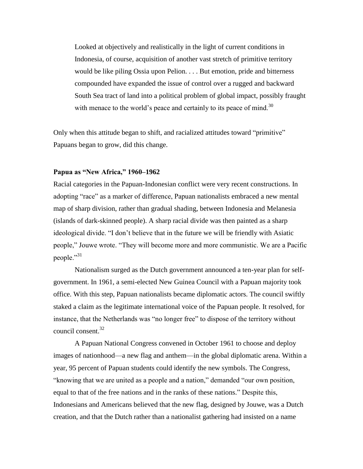Looked at objectively and realistically in the light of current conditions in Indonesia, of course, acquisition of another vast stretch of primitive territory would be like piling Ossia upon Pelion. . . . But emotion, pride and bitterness compounded have expanded the issue of control over a rugged and backward South Sea tract of land into a political problem of global impact, possibly fraught with menace to the world's peace and certainly to its peace of mind.<sup>30</sup>

Only when this attitude began to shift, and racialized attitudes toward "primitive" Papuans began to grow, did this change.

#### **Papua as "New Africa," 1960–1962**

Racial categories in the Papuan-Indonesian conflict were very recent constructions. In adopting "race" as a marker of difference, Papuan nationalists embraced a new mental map of sharp division, rather than gradual shading, between Indonesia and Melanesia (islands of dark-skinned people). A sharp racial divide was then painted as a sharp ideological divide. "I don't believe that in the future we will be friendly with Asiatic people," Jouwe wrote. "They will become more and more communistic. We are a Pacific people."31

Nationalism surged as the Dutch government announced a ten-year plan for selfgovernment. In 1961, a semi-elected New Guinea Council with a Papuan majority took office. With this step, Papuan nationalists became diplomatic actors. The council swiftly staked a claim as the legitimate international voice of the Papuan people. It resolved, for instance, that the Netherlands was "no longer free" to dispose of the territory without council consent.<sup>32</sup>

A Papuan National Congress convened in October 1961 to choose and deploy images of nationhood—a new flag and anthem—in the global diplomatic arena. Within a year, 95 percent of Papuan students could identify the new symbols. The Congress, "knowing that we are united as a people and a nation," demanded "our own position, equal to that of the free nations and in the ranks of these nations." Despite this, Indonesians and Americans believed that the new flag, designed by Jouwe, was a Dutch creation, and that the Dutch rather than a nationalist gathering had insisted on a name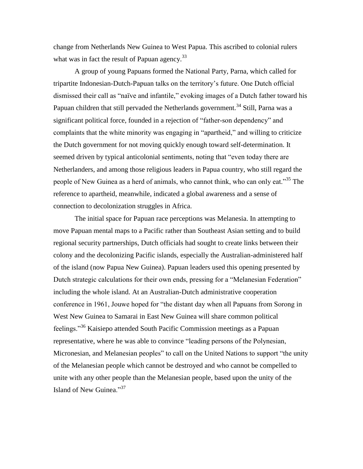change from Netherlands New Guinea to West Papua. This ascribed to colonial rulers what was in fact the result of Papuan agency.  $33$ 

A group of young Papuans formed the National Party, Parna, which called for tripartite Indonesian-Dutch-Papuan talks on the territory's future. One Dutch official dismissed their call as "naïve and infantile," evoking images of a Dutch father toward his Papuan children that still pervaded the Netherlands government.<sup>34</sup> Still, Parna was a significant political force, founded in a rejection of "father-son dependency" and complaints that the white minority was engaging in "apartheid," and willing to criticize the Dutch government for not moving quickly enough toward self-determination. It seemed driven by typical anticolonial sentiments, noting that "even today there are Netherlanders, and among those religious leaders in Papua country, who still regard the people of New Guinea as a herd of animals, who cannot think, who can only eat."<sup>35</sup> The reference to apartheid, meanwhile, indicated a global awareness and a sense of connection to decolonization struggles in Africa.

The initial space for Papuan race perceptions was Melanesia. In attempting to move Papuan mental maps to a Pacific rather than Southeast Asian setting and to build regional security partnerships, Dutch officials had sought to create links between their colony and the decolonizing Pacific islands, especially the Australian-administered half of the island (now Papua New Guinea). Papuan leaders used this opening presented by Dutch strategic calculations for their own ends, pressing for a "Melanesian Federation" including the whole island. At an Australian-Dutch administrative cooperation conference in 1961, Jouwe hoped for "the distant day when all Papuans from Sorong in West New Guinea to Samarai in East New Guinea will share common political feelings."<sup>36</sup> Kaisiepo attended South Pacific Commission meetings as a Papuan representative, where he was able to convince "leading persons of the Polynesian, Micronesian, and Melanesian peoples" to call on the United Nations to support "the unity of the Melanesian people which cannot be destroyed and who cannot be compelled to unite with any other people than the Melanesian people, based upon the unity of the Island of New Guinea."<sup>37</sup>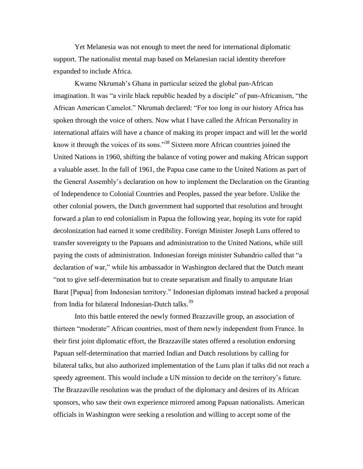Yet Melanesia was not enough to meet the need for international diplomatic support. The nationalist mental map based on Melanesian racial identity therefore expanded to include Africa.

Kwame Nkrumah's Ghana in particular seized the global pan-African imagination. It was "a virile black republic headed by a disciple" of pan-Africanism, "the African American Camelot." Nkrumah declared: "For too long in our history Africa has spoken through the voice of others. Now what I have called the African Personality in international affairs will have a chance of making its proper impact and will let the world know it through the voices of its sons."<sup>38</sup> Sixteen more African countries joined the United Nations in 1960, shifting the balance of voting power and making African support a valuable asset. In the fall of 1961, the Papua case came to the United Nations as part of the General Assembly's declaration on how to implement the Declaration on the Granting of Independence to Colonial Countries and Peoples, passed the year before. Unlike the other colonial powers, the Dutch government had supported that resolution and brought forward a plan to end colonialism in Papua the following year, hoping its vote for rapid decolonization had earned it some credibility. Foreign Minister Joseph Luns offered to transfer sovereignty to the Papuans and administration to the United Nations, while still paying the costs of administration. Indonesian foreign minister Subandrio called that "a declaration of war," while his ambassador in Washington declared that the Dutch meant "not to give self-determination but to create separatism and finally to amputate Irian Barat [Papua] from Indonesian territory." Indonesian diplomats instead backed a proposal from India for bilateral Indonesian-Dutch talks.<sup>39</sup>

Into this battle entered the newly formed Brazzaville group, an association of thirteen "moderate" African countries, most of them newly independent from France. In their first joint diplomatic effort, the Brazzaville states offered a resolution endorsing Papuan self-determination that married Indian and Dutch resolutions by calling for bilateral talks, but also authorized implementation of the Luns plan if talks did not reach a speedy agreement. This would include a UN mission to decide on the territory's future. The Brazzaville resolution was the product of the diplomacy and desires of its African sponsors, who saw their own experience mirrored among Papuan nationalists. American officials in Washington were seeking a resolution and willing to accept some of the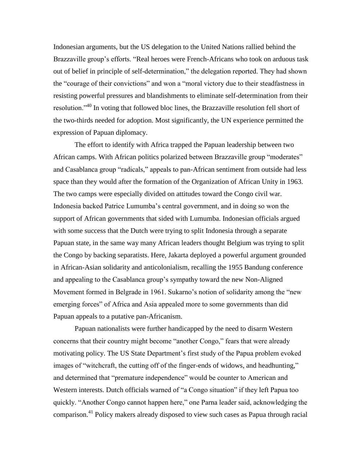Indonesian arguments, but the US delegation to the United Nations rallied behind the Brazzaville group's efforts. "Real heroes were French-Africans who took on arduous task out of belief in principle of self-determination," the delegation reported. They had shown the "courage of their convictions" and won a "moral victory due to their steadfastness in resisting powerful pressures and blandishments to eliminate self-determination from their resolution."<sup>40</sup> In voting that followed bloc lines, the Brazzaville resolution fell short of the two-thirds needed for adoption. Most significantly, the UN experience permitted the expression of Papuan diplomacy.

The effort to identify with Africa trapped the Papuan leadership between two African camps. With African politics polarized between Brazzaville group "moderates" and Casablanca group "radicals," appeals to pan-African sentiment from outside had less space than they would after the formation of the Organization of African Unity in 1963. The two camps were especially divided on attitudes toward the Congo civil war. Indonesia backed Patrice Lumumba's central government, and in doing so won the support of African governments that sided with Lumumba. Indonesian officials argued with some success that the Dutch were trying to split Indonesia through a separate Papuan state, in the same way many African leaders thought Belgium was trying to split the Congo by backing separatists. Here, Jakarta deployed a powerful argument grounded in African-Asian solidarity and anticolonialism, recalling the 1955 Bandung conference and appealing to the Casablanca group's sympathy toward the new Non-Aligned Movement formed in Belgrade in 1961. Sukarno's notion of solidarity among the "new emerging forces" of Africa and Asia appealed more to some governments than did Papuan appeals to a putative pan-Africanism.

Papuan nationalists were further handicapped by the need to disarm Western concerns that their country might become "another Congo," fears that were already motivating policy. The US State Department's first study of the Papua problem evoked images of "witchcraft, the cutting off of the finger-ends of widows, and headhunting," and determined that "premature independence" would be counter to American and Western interests. Dutch officials warned of "a Congo situation" if they left Papua too quickly. "Another Congo cannot happen here," one Parna leader said, acknowledging the comparison.<sup>41</sup> Policy makers already disposed to view such cases as Papua through racial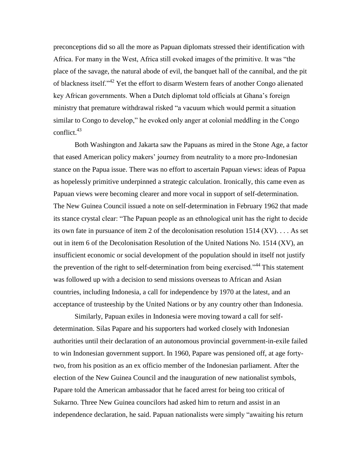preconceptions did so all the more as Papuan diplomats stressed their identification with Africa. For many in the West, Africa still evoked images of the primitive. It was "the place of the savage, the natural abode of evil, the banquet hall of the cannibal, and the pit of blackness itself."<sup>42</sup> Yet the effort to disarm Western fears of another Congo alienated key African governments. When a Dutch diplomat told officials at Ghana's foreign ministry that premature withdrawal risked "a vacuum which would permit a situation similar to Congo to develop," he evoked only anger at colonial meddling in the Congo conflict.<sup>43</sup>

Both Washington and Jakarta saw the Papuans as mired in the Stone Age, a factor that eased American policy makers' journey from neutrality to a more pro-Indonesian stance on the Papua issue. There was no effort to ascertain Papuan views: ideas of Papua as hopelessly primitive underpinned a strategic calculation. Ironically, this came even as Papuan views were becoming clearer and more vocal in support of self-determination. The New Guinea Council issued a note on self-determination in February 1962 that made its stance crystal clear: "The Papuan people as an ethnological unit has the right to decide its own fate in pursuance of item 2 of the decolonisation resolution 1514 (XV). . . . As set out in item 6 of the Decolonisation Resolution of the United Nations No. 1514 (XV), an insufficient economic or social development of the population should in itself not justify the prevention of the right to self-determination from being exercised."<sup>44</sup> This statement was followed up with a decision to send missions overseas to African and Asian countries, including Indonesia, a call for independence by 1970 at the latest, and an acceptance of trusteeship by the United Nations or by any country other than Indonesia.

Similarly, Papuan exiles in Indonesia were moving toward a call for selfdetermination. Silas Papare and his supporters had worked closely with Indonesian authorities until their declaration of an autonomous provincial government-in-exile failed to win Indonesian government support. In 1960, Papare was pensioned off, at age fortytwo, from his position as an ex officio member of the Indonesian parliament. After the election of the New Guinea Council and the inauguration of new nationalist symbols, Papare told the American ambassador that he faced arrest for being too critical of Sukarno. Three New Guinea councilors had asked him to return and assist in an independence declaration, he said. Papuan nationalists were simply "awaiting his return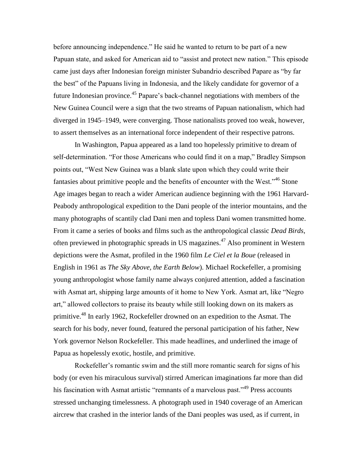before announcing independence." He said he wanted to return to be part of a new Papuan state, and asked for American aid to "assist and protect new nation." This episode came just days after Indonesian foreign minister Subandrio described Papare as "by far the best" of the Papuans living in Indonesia, and the likely candidate for governor of a future Indonesian province.<sup>45</sup> Papare's back-channel negotiations with members of the New Guinea Council were a sign that the two streams of Papuan nationalism, which had diverged in 1945–1949, were converging. Those nationalists proved too weak, however, to assert themselves as an international force independent of their respective patrons.

In Washington, Papua appeared as a land too hopelessly primitive to dream of self-determination. "For those Americans who could find it on a map," Bradley Simpson points out, "West New Guinea was a blank slate upon which they could write their fantasies about primitive people and the benefits of encounter with the West."<sup>46</sup> Stone Age images began to reach a wider American audience beginning with the 1961 Harvard-Peabody anthropological expedition to the Dani people of the interior mountains, and the many photographs of scantily clad Dani men and topless Dani women transmitted home. From it came a series of books and films such as the anthropological classic *Dead Birds*, often previewed in photographic spreads in US magazines.<sup>47</sup> Also prominent in Western depictions were the Asmat, profiled in the 1960 film *Le Ciel et la Boue* (released in English in 1961 as *The Sky Above, the Earth Below*). Michael Rockefeller, a promising young anthropologist whose family name always conjured attention, added a fascination with Asmat art, shipping large amounts of it home to New York. Asmat art, like "Negro art," allowed collectors to praise its beauty while still looking down on its makers as primitive.<sup>48</sup> In early 1962, Rockefeller drowned on an expedition to the Asmat. The search for his body, never found, featured the personal participation of his father, New York governor Nelson Rockefeller. This made headlines, and underlined the image of Papua as hopelessly exotic, hostile, and primitive.

Rockefeller's romantic swim and the still more romantic search for signs of his body (or even his miraculous survival) stirred American imaginations far more than did his fascination with Asmat artistic "remnants of a marvelous past."<sup>49</sup> Press accounts stressed unchanging timelessness. A photograph used in 1940 coverage of an American aircrew that crashed in the interior lands of the Dani peoples was used, as if current, in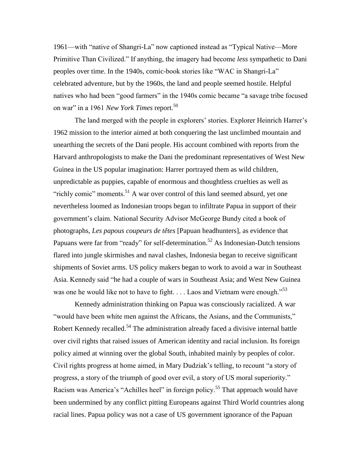1961—with "native of Shangri-La" now captioned instead as "Typical Native—More Primitive Than Civilized." If anything, the imagery had become *less* sympathetic to Dani peoples over time. In the 1940s, comic-book stories like "WAC in Shangri-La" celebrated adventure, but by the 1960s, the land and people seemed hostile. Helpful natives who had been "good farmers" in the 1940s comic became "a savage tribe focused on war" in a 1961 *New York Times* report.<sup>50</sup>

The land merged with the people in explorers' stories. Explorer Heinrich Harrer's 1962 mission to the interior aimed at both conquering the last unclimbed mountain and unearthing the secrets of the Dani people. His account combined with reports from the Harvard anthropologists to make the Dani the predominant representatives of West New Guinea in the US popular imagination: Harrer portrayed them as wild children, unpredictable as puppies, capable of enormous and thoughtless cruelties as well as "richly comic" moments.<sup>51</sup> A war over control of this land seemed absurd, yet one nevertheless loomed as Indonesian troops began to infiltrate Papua in support of their government's claim. National Security Advisor McGeorge Bundy cited a book of photographs, *Les papous coupeurs de têtes* [Papuan headhunters], as evidence that Papuans were far from "ready" for self-determination.<sup>52</sup> As Indonesian-Dutch tensions flared into jungle skirmishes and naval clashes, Indonesia began to receive significant shipments of Soviet arms. US policy makers began to work to avoid a war in Southeast Asia. Kennedy said "he had a couple of wars in Southeast Asia; and West New Guinea was one he would like not to have to fight.  $\dots$  Laos and Vietnam were enough."<sup>53</sup>

Kennedy administration thinking on Papua was consciously racialized. A war "would have been white men against the Africans, the Asians, and the Communists," Robert Kennedy recalled.<sup>54</sup> The administration already faced a divisive internal battle over civil rights that raised issues of American identity and racial inclusion. Its foreign policy aimed at winning over the global South, inhabited mainly by peoples of color. Civil rights progress at home aimed, in Mary Dudziak's telling, to recount "a story of progress, a story of the triumph of good over evil, a story of US moral superiority." Racism was America's "Achilles heel" in foreign policy.<sup>55</sup> That approach would have been undermined by any conflict pitting Europeans against Third World countries along racial lines. Papua policy was not a case of US government ignorance of the Papuan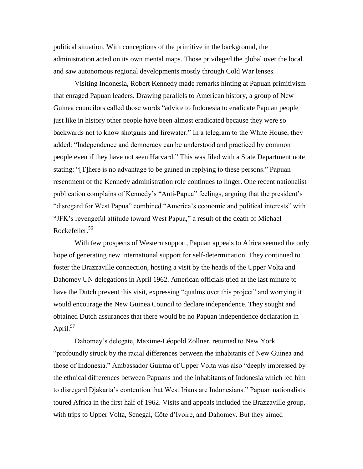political situation. With conceptions of the primitive in the background, the administration acted on its own mental maps. Those privileged the global over the local and saw autonomous regional developments mostly through Cold War lenses.

Visiting Indonesia, Robert Kennedy made remarks hinting at Papuan primitivism that enraged Papuan leaders. Drawing parallels to American history, a group of New Guinea councilors called those words "advice to Indonesia to eradicate Papuan people just like in history other people have been almost eradicated because they were so backwards not to know shotguns and firewater." In a telegram to the White House, they added: "Independence and democracy can be understood and practiced by common people even if they have not seen Harvard." This was filed with a State Department note stating: "[T]here is no advantage to be gained in replying to these persons." Papuan resentment of the Kennedy administration role continues to linger. One recent nationalist publication complains of Kennedy's "Anti-Papua" feelings, arguing that the president's "disregard for West Papua" combined "America's economic and political interests" with "JFK's revengeful attitude toward West Papua," a result of the death of Michael Rockefeller.<sup>56</sup>

With few prospects of Western support, Papuan appeals to Africa seemed the only hope of generating new international support for self-determination. They continued to foster the Brazzaville connection, hosting a visit by the heads of the Upper Volta and Dahomey UN delegations in April 1962. American officials tried at the last minute to have the Dutch prevent this visit, expressing "qualms over this project" and worrying it would encourage the New Guinea Council to declare independence. They sought and obtained Dutch assurances that there would be no Papuan independence declaration in April.<sup>57</sup>

Dahomey's delegate, Maxime-Léopold Zollner, returned to New York "profoundly struck by the racial differences between the inhabitants of New Guinea and those of Indonesia." Ambassador Guirma of Upper Volta was also "deeply impressed by the ethnical differences between Papuans and the inhabitants of Indonesia which led him to disregard Djakarta's contention that West Irians are Indonesians." Papuan nationalists toured Africa in the first half of 1962. Visits and appeals included the Brazzaville group, with trips to Upper Volta, Senegal, Côte d'Ivoire, and Dahomey. But they aimed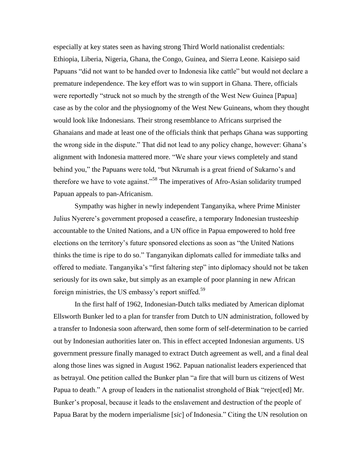especially at key states seen as having strong Third World nationalist credentials: Ethiopia, Liberia, Nigeria, Ghana, the Congo, Guinea, and Sierra Leone. Kaisiepo said Papuans "did not want to be handed over to Indonesia like cattle" but would not declare a premature independence. The key effort was to win support in Ghana. There, officials were reportedly "struck not so much by the strength of the West New Guinea [Papua] case as by the color and the physiognomy of the West New Guineans, whom they thought would look like Indonesians. Their strong resemblance to Africans surprised the Ghanaians and made at least one of the officials think that perhaps Ghana was supporting the wrong side in the dispute." That did not lead to any policy change, however: Ghana's alignment with Indonesia mattered more. "We share your views completely and stand behind you," the Papuans were told, "but Nkrumah is a great friend of Sukarno's and therefore we have to vote against."<sup>58</sup> The imperatives of Afro-Asian solidarity trumped Papuan appeals to pan-Africanism.

Sympathy was higher in newly independent Tanganyika, where Prime Minister Julius Nyerere's government proposed a ceasefire, a temporary Indonesian trusteeship accountable to the United Nations, and a UN office in Papua empowered to hold free elections on the territory's future sponsored elections as soon as "the United Nations thinks the time is ripe to do so." Tanganyikan diplomats called for immediate talks and offered to mediate. Tanganyika's "first faltering step" into diplomacy should not be taken seriously for its own sake, but simply as an example of poor planning in new African foreign ministries, the US embassy's report sniffed.<sup>59</sup>

In the first half of 1962, Indonesian-Dutch talks mediated by American diplomat Ellsworth Bunker led to a plan for transfer from Dutch to UN administration, followed by a transfer to Indonesia soon afterward, then some form of self-determination to be carried out by Indonesian authorities later on. This in effect accepted Indonesian arguments. US government pressure finally managed to extract Dutch agreement as well, and a final deal along those lines was signed in August 1962. Papuan nationalist leaders experienced that as betrayal. One petition called the Bunker plan "a fire that will burn us citizens of West Papua to death." A group of leaders in the nationalist stronghold of Biak "reject [ed] Mr. Bunker's proposal, because it leads to the enslavement and destruction of the people of Papua Barat by the modern imperialisme [*sic*] of Indonesia." Citing the UN resolution on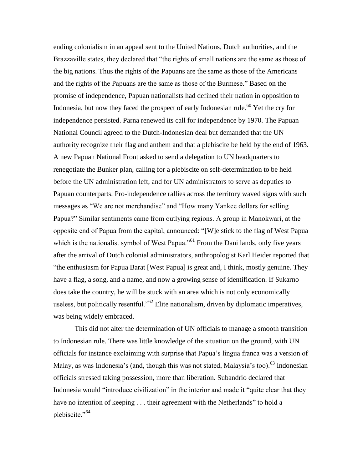ending colonialism in an appeal sent to the United Nations, Dutch authorities, and the Brazzaville states, they declared that "the rights of small nations are the same as those of the big nations. Thus the rights of the Papuans are the same as those of the Americans and the rights of the Papuans are the same as those of the Burmese." Based on the promise of independence, Papuan nationalists had defined their nation in opposition to Indonesia, but now they faced the prospect of early Indonesian rule.<sup> $60$ </sup> Yet the cry for independence persisted. Parna renewed its call for independence by 1970. The Papuan National Council agreed to the Dutch-Indonesian deal but demanded that the UN authority recognize their flag and anthem and that a plebiscite be held by the end of 1963. A new Papuan National Front asked to send a delegation to UN headquarters to renegotiate the Bunker plan, calling for a plebiscite on self-determination to be held before the UN administration left, and for UN administrators to serve as deputies to Papuan counterparts. Pro-independence rallies across the territory waved signs with such messages as "We are not merchandise" and "How many Yankee dollars for selling Papua?" Similar sentiments came from outlying regions. A group in Manokwari, at the opposite end of Papua from the capital, announced: "[W]e stick to the flag of West Papua which is the nationalist symbol of West Papua."<sup>61</sup> From the Dani lands, only five years after the arrival of Dutch colonial administrators, anthropologist Karl Heider reported that "the enthusiasm for Papua Barat [West Papua] is great and, I think, mostly genuine. They have a flag, a song, and a name, and now a growing sense of identification. If Sukarno does take the country, he will be stuck with an area which is not only economically useless, but politically resentful."<sup>62</sup> Elite nationalism, driven by diplomatic imperatives, was being widely embraced.

This did not alter the determination of UN officials to manage a smooth transition to Indonesian rule. There was little knowledge of the situation on the ground, with UN officials for instance exclaiming with surprise that Papua's lingua franca was a version of Malay, as was Indonesia's (and, though this was not stated, Malaysia's too).<sup>63</sup> Indonesian officials stressed taking possession, more than liberation. Subandrio declared that Indonesia would "introduce civilization" in the interior and made it "quite clear that they have no intention of keeping . . . their agreement with the Netherlands" to hold a plebiscite."<sup>64</sup>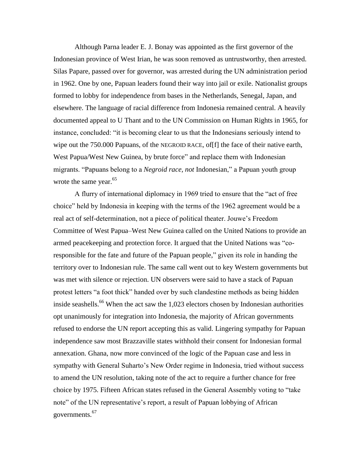Although Parna leader E. J. Bonay was appointed as the first governor of the Indonesian province of West Irian, he was soon removed as untrustworthy, then arrested. Silas Papare, passed over for governor, was arrested during the UN administration period in 1962. One by one, Papuan leaders found their way into jail or exile. Nationalist groups formed to lobby for independence from bases in the Netherlands, Senegal, Japan, and elsewhere. The language of racial difference from Indonesia remained central. A heavily documented appeal to U Thant and to the UN Commission on Human Rights in 1965, for instance, concluded: "it is becoming clear to us that the Indonesians seriously intend to wipe out the 750.000 Papuans, of the NEGROID RACE, of [f] the face of their native earth, West Papua/West New Guinea, by brute force" and replace them with Indonesian migrants. "Papuans belong to a *Negroid race, not* Indonesian," a Papuan youth group wrote the same year.<sup>65</sup>

A flurry of international diplomacy in 1969 tried to ensure that the "act of free choice" held by Indonesia in keeping with the terms of the 1962 agreement would be a real act of self-determination, not a piece of political theater. Jouwe's Freedom Committee of West Papua–West New Guinea called on the United Nations to provide an armed peacekeeping and protection force. It argued that the United Nations was "coresponsible for the fate and future of the Papuan people," given its role in handing the territory over to Indonesian rule. The same call went out to key Western governments but was met with silence or rejection. UN observers were said to have a stack of Papuan protest letters "a foot thick" handed over by such clandestine methods as being hidden inside seashells.<sup>66</sup> When the act saw the 1,023 electors chosen by Indonesian authorities opt unanimously for integration into Indonesia, the majority of African governments refused to endorse the UN report accepting this as valid. Lingering sympathy for Papuan independence saw most Brazzaville states withhold their consent for Indonesian formal annexation. Ghana, now more convinced of the logic of the Papuan case and less in sympathy with General Suharto's New Order regime in Indonesia, tried without success to amend the UN resolution, taking note of the act to require a further chance for free choice by 1975. Fifteen African states refused in the General Assembly voting to "take note" of the UN representative's report, a result of Papuan lobbying of African governments.<sup>67</sup>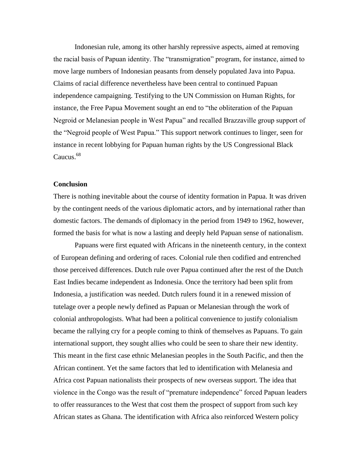Indonesian rule, among its other harshly repressive aspects, aimed at removing the racial basis of Papuan identity. The "transmigration" program, for instance, aimed to move large numbers of Indonesian peasants from densely populated Java into Papua. Claims of racial difference nevertheless have been central to continued Papuan independence campaigning. Testifying to the UN Commission on Human Rights, for instance, the Free Papua Movement sought an end to "the obliteration of the Papuan Negroid or Melanesian people in West Papua" and recalled Brazzaville group support of the "Negroid people of West Papua." This support network continues to linger, seen for instance in recent lobbying for Papuan human rights by the US Congressional Black Caucus.<sup>68</sup>

#### **Conclusion**

There is nothing inevitable about the course of identity formation in Papua. It was driven by the contingent needs of the various diplomatic actors, and by international rather than domestic factors. The demands of diplomacy in the period from 1949 to 1962, however, formed the basis for what is now a lasting and deeply held Papuan sense of nationalism.

Papuans were first equated with Africans in the nineteenth century, in the context of European defining and ordering of races. Colonial rule then codified and entrenched those perceived differences. Dutch rule over Papua continued after the rest of the Dutch East Indies became independent as Indonesia. Once the territory had been split from Indonesia, a justification was needed. Dutch rulers found it in a renewed mission of tutelage over a people newly defined as Papuan or Melanesian through the work of colonial anthropologists. What had been a political convenience to justify colonialism became the rallying cry for a people coming to think of themselves as Papuans. To gain international support, they sought allies who could be seen to share their new identity. This meant in the first case ethnic Melanesian peoples in the South Pacific, and then the African continent. Yet the same factors that led to identification with Melanesia and Africa cost Papuan nationalists their prospects of new overseas support. The idea that violence in the Congo was the result of "premature independence" forced Papuan leaders to offer reassurances to the West that cost them the prospect of support from such key African states as Ghana. The identification with Africa also reinforced Western policy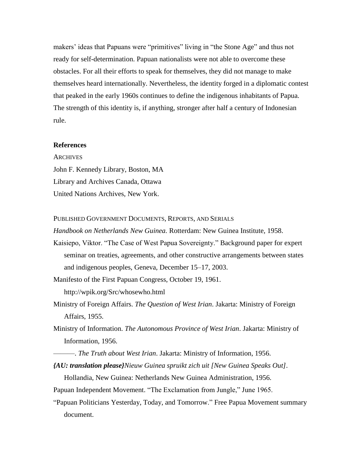makers' ideas that Papuans were "primitives" living in "the Stone Age" and thus not ready for self-determination. Papuan nationalists were not able to overcome these obstacles. For all their efforts to speak for themselves, they did not manage to make themselves heard internationally. Nevertheless, the identity forged in a diplomatic contest that peaked in the early 1960s continues to define the indigenous inhabitants of Papua. The strength of this identity is, if anything, stronger after half a century of Indonesian rule.

# **References**

**ARCHIVES** John F. Kennedy Library, Boston, MA Library and Archives Canada, Ottawa United Nations Archives, New York.

PUBLISHED GOVERNMENT DOCUMENTS, REPORTS, AND SERIALS

*Handbook on Netherlands New Guinea.* Rotterdam: New Guinea Institute, 1958.

Kaisiepo, Viktor. "The Case of West Papua Sovereignty." Background paper for expert seminar on treaties, agreements, and other constructive arrangements between states and indigenous peoples, Geneva, December 15–17, 2003.

Manifesto of the First Papuan Congress, October 19, 1961.

http://wpik.org/Src/whosewho.html

- Ministry of Foreign Affairs. *The Question of West Irian*. Jakarta: Ministry of Foreign Affairs, 1955.
- Ministry of Information. *The Autonomous Province of West Irian*. Jakarta: Ministry of Information, 1956.

———. *The Truth about West Irian*. Jakarta: Ministry of Information, 1956.

*{AU: translation please}Nieuw Guinea spruikt zich uit [New Guinea Speaks Out]*.

Hollandia, New Guinea: Netherlands New Guinea Administration, 1956.

Papuan Independent Movement. "The Exclamation from Jungle," June 1965.

"Papuan Politicians Yesterday, Today, and Tomorrow." Free Papua Movement summary document.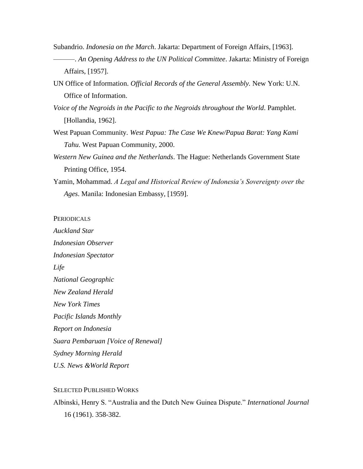Subandrio. *Indonesia on the March*. Jakarta: Department of Foreign Affairs, [1963].

- ———. *An Opening Address to the UN Political Committee*. Jakarta: Ministry of Foreign Affairs, [1957].
- UN Office of Information. *Official Records of the General Assembly.* New York: U.N. Office of Information.
- *Voice of the Negroids in the Pacific to the Negroids throughout the World*. Pamphlet. [Hollandia, 1962].
- West Papuan Community. *West Papua: The Case We Knew/Papua Barat: Yang Kami Tahu*. West Papuan Community, 2000.
- *Western New Guinea and the Netherlands*. The Hague: Netherlands Government State Printing Office, 1954.
- Yamin, Mohammad. *A Legal and Historical Review of Indonesia's Sovereignty over the Ages*. Manila: Indonesian Embassy, [1959].

**PERIODICALS** 

*Auckland Star Indonesian Observer Indonesian Spectator Life National Geographic New Zealand Herald New York Times Pacific Islands Monthly Report on Indonesia Suara Pembaruan [Voice of Renewal] Sydney Morning Herald U.S. News &World Report*

### SELECTED PUBLISHED WORKS

Albinski, Henry S. "Australia and the Dutch New Guinea Dispute." *International Journal* 16 (1961). 358-382.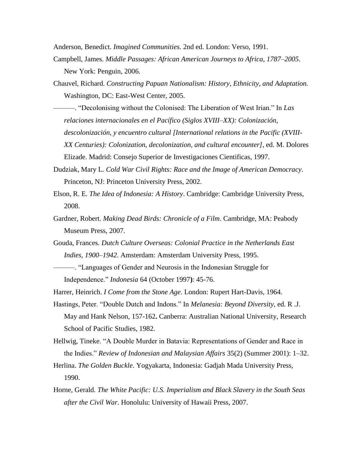Anderson, Benedict. *Imagined Communities*. 2nd ed. London: Verso, 1991.

- Campbell, James. *Middle Passages: African American Journeys to Africa, 1787–2005*. New York: Penguin, 2006.
- Chauvel, Richard. *Constructing Papuan Nationalism: History, Ethnicity, and Adaptation.*  Washington, DC: East-West Center, 2005.
- ———. "Decolonising without the Colonised: The Liberation of West Irian." In *Las relaciones internacionales en el Pacífico (Siglos XVIII–XX): Colonización, descolonización, y encuentro cultural [International relations in the Pacific (XVIII-XX Centuries): Colonization, decolonization, and cultural encounter],* ed. M. Dolores Elizade. Madrid: Consejo Superior de Investigaciones Cientificas, 1997.
- Dudziak, Mary L. *Cold War Civil Rights: Race and the Image of American Democracy*. Princeton, NJ: Princeton University Press, 2002.
- Elson, R. E. *The Idea of Indonesia: A History*. Cambridge: Cambridge University Press, 2008.
- Gardner, Robert. *Making Dead Birds: Chronicle of a Film*. Cambridge, MA: Peabody Museum Press, 2007.
- Gouda, Frances. *Dutch Culture Overseas: Colonial Practice in the Netherlands East Indies, 1900–1942*. Amsterdam: Amsterdam University Press, 1995.
- ———. "Languages of Gender and Neurosis in the Indonesian Struggle for Independence." *Indonesia* 64 (October 1997**)**: 45-76.
- Harrer, Heinrich. *I Come from the Stone Age*. London: Rupert Hart-Davis, 1964.
- Hastings, Peter. "Double Dutch and Indons." In *Melanesia: Beyond Diversity,* ed. R .J. May and Hank Nelson, 157-162**.** Canberra: Australian National University, Research School of Pacific Studies, 1982.
- Hellwig, Tineke. "A Double Murder in Batavia: Representations of Gender and Race in the Indies." *Review of Indonesian and Malaysian Affairs* 35(2) (Summer 2001): 1–32.
- Herlina. *The Golden Buckle*. Yogyakarta, Indonesia: Gadjah Mada University Press, 1990.
- Horne, Gerald. *The White Pacific: U.S. Imperialism and Black Slavery in the South Seas after the Civil War*. Honolulu: University of Hawaii Press, 2007.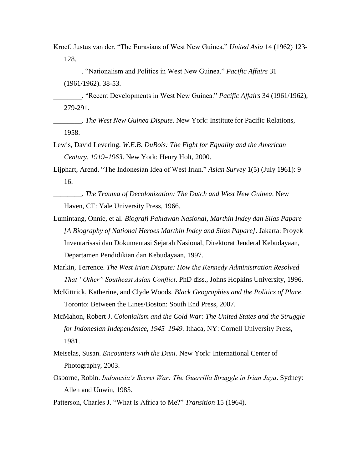- Kroef, Justus van der. "The Eurasians of West New Guinea." *United Asia* 14 (1962) 123- 128.
	- \_\_\_\_\_\_\_\_. "Nationalism and Politics in West New Guinea." *Pacific Affairs* 31 (1961/1962). 38-53.
- \_\_\_\_\_\_\_\_. "Recent Developments in West New Guinea." *Pacific Affairs* 34 (1961/1962), 279-291.
- \_\_\_\_\_\_\_\_. *The West New Guinea Dispute*. New York: Institute for Pacific Relations, 1958.
- Lewis, David Levering. *W.E.B. DuBois: The Fight for Equality and the American Century, 1919–1963*. New York: Henry Holt, 2000.
- Lijphart, Arend. "The Indonesian Idea of West Irian." *Asian Survey* 1(5) (July 1961): 9– 16.
- \_\_\_\_\_\_\_\_. *The Trauma of Decolonization: The Dutch and West New Guinea*. New Haven, CT: Yale University Press, 1966.
- Lumintang, Onnie, et al. *Biografi Pahlawan Nasional, Marthin Indey dan Silas Papare [A Biography of National Heroes Marthin Indey and Silas Papare]*. Jakarta: Proyek Inventarisasi dan Dokumentasi Sejarah Nasional, Direktorat Jenderal Kebudayaan, Departamen Pendidikian dan Kebudayaan, 1997.
- Markin, Terrence. *The West Irian Dispute: How the Kennedy Administration Resolved That "Other" Southeast Asian Conflict*. PhD diss., Johns Hopkins University, 1996.
- McKittrick, Katherine, and Clyde Woods. *Black Geographies and the Politics of Place*. Toronto: Between the Lines/Boston: South End Press, 2007.
- McMahon, Robert J. *Colonialism and the Cold War: The United States and the Struggle for Indonesian Independence, 1945–1949.* Ithaca, NY: Cornell University Press, 1981.
- Meiselas, Susan. *Encounters with the Dani.* New York: International Center of Photography, 2003.
- Osborne*,* Robin. *Indonesia's Secret War: The Guerrilla Struggle in Irian Jaya*. Sydney: Allen and Unwin, 1985.
- Patterson, Charles J. "What Is Africa to Me?" *Transition* 15 (1964).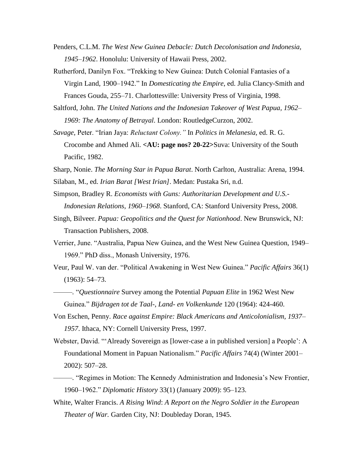- Penders, C.L.M. *The West New Guinea Debacle: Dutch Decolonisation and Indonesia, 1945–1962*. Honolulu: University of Hawaii Press, 2002.
- Rutherford, Danilyn Fox. "Trekking to New Guinea: Dutch Colonial Fantasies of a Virgin Land, 1900–1942." In *Domesticating the Empire*, ed. Julia Clancy-Smith and Frances Gouda, 255–71. Charlottesville: University Press of Virginia, 1998.
- Saltford, John. *The United Nations and the Indonesian Takeover of West Papua, 1962– 1969: The Anatomy of Betrayal*. London: RoutledgeCurzon, 2002.
- *Savage,* Peter. "Irian Jaya: *Reluctant Colony."* In *Politics in Melanesia,* ed. R. G. Crocombe and Ahmed Ali. **<AU: page nos? 20-22>**Suva: University of the South Pacific, 1982.
- Sharp, Nonie. *The Morning Star in Papua Barat*. North Carlton, Australia: Arena, 1994.
- Silaban, M., ed. *Irian Barat [West Irian]*. Medan: Pustaka Sri, n.d.
- Simpson, Bradley R. *Economists with Guns: Authoritarian Development and U.S.- Indonesian Relations, 1960–1968*. Stanford, CA: Stanford University Press, 2008.
- Singh, Bilveer. *Papua: Geopolitics and the Quest for Nationhood*. New Brunswick, NJ: Transaction Publishers, 2008.
- Verrier, June. "Australia, Papua New Guinea, and the West New Guinea Question, 1949– 1969." PhD diss., Monash University, 1976.
- Veur, Paul W. van der. "Political Awakening in West New Guinea." *Pacific Affairs* 36(1) (1963): 54–73.
- *———.* "*Questionnaire* Survey among the Potential *Papuan Elite* in 1962 West New Guinea." *Bijdragen tot de Taal-, Land- en Volkenkunde* 120 (1964): 424-460.
- Von Eschen, Penny. *Race against Empire: Black Americans and Anticolonialism, 1937– 1957*. Ithaca, NY: Cornell University Press, 1997.
- Webster, David. "'Already Sovereign as [lower-case a in published version] a People': A Foundational Moment in Papuan Nationalism." *Pacific Affairs* 74(4) (Winter 2001– 2002): 507–28.
- *———.* "Regimes in Motion: The Kennedy Administration and Indonesia's New Frontier, 1960–1962." *Diplomatic History* 33(1) (January 2009): 95–123.
- White*,* Walter Francis. *A Rising Wind*: *A Report on the Negro Soldier in the European Theater of War.* Garden City, NJ: Doubleday Doran, 1945.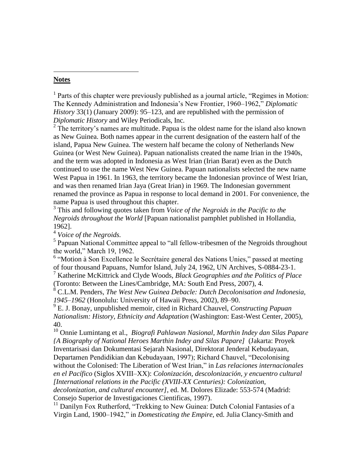## **Notes**

 $\overline{a}$ 

<sup>1</sup> Parts of this chapter were previously published as a journal article, "Regimes in Motion: The Kennedy Administration and Indonesia's New Frontier, 1960–1962," *Diplomatic History* 33(1) (January 2009): 95–123, and are republished with the permission of *Diplomatic History* and Wiley Periodicals, Inc.

 $2^{2}$  The territory's names are multitude. Papua is the oldest name for the island also known as New Guinea. Both names appear in the current designation of the eastern half of the island, Papua New Guinea. The western half became the colony of Netherlands New Guinea (or West New Guinea). Papuan nationalists created the name Irian in the 1940s, and the term was adopted in Indonesia as West Irian (Irian Barat) even as the Dutch continued to use the name West New Guinea. Papuan nationalists selected the new name West Papua in 1961. In 1963, the territory became the Indonesian province of West Irian, and was then renamed Irian Jaya (Great Irian) in 1969. The Indonesian government renamed the province as Papua in response to local demand in 2001. For convenience, the name Papua is used throughout this chapter.

3 This and following quotes taken from *Voice of the Negroids in the Pacific to the Negroids throughout the World* [Papuan nationalist pamphlet published in Hollandia, 1962].

4 *Voice of the Negroids.*

<sup>5</sup> Papuan National Committee appeal to "all fellow-tribesmen of the Negroids throughout the world," March 19, 1962.

<sup>6</sup> "Motion à Son Excellence le Secrétaire general des Nations Unies," passed at meeting of four thousand Papuans, Numfor Island, July 24, 1962, UN Archives, S-0884-23-1.

<sup>7</sup> Katherine McKittrick and Clyde Woods, *Black Geographies and the Politics of Place* (Toronto: Between the Lines/Cambridge, MA: South End Press, 2007), 4.

<sup>8</sup> C.L.M. Penders, *The West New Guinea Debacle: Dutch Decolonisation and Indonesia, 1945–1962* (Honolulu: University of Hawaii Press, 2002), 89–90.

9 E. J. Bonay, unpublished memoir, cited in Richard Chauvel, *Constructing Papuan Nationalism: History, Ethnicity and Adaptation* (Washington: East-West Center, 2005), 40.

<sup>10</sup> Onnie Lumintang et al., *Biografi Pahlawan Nasional, Marthin Indey dan Silas Papare {A Biography of National Heroes Marthin Indey and Silas Papare]* (Jakarta: Proyek Inventarisasi dan Dokumentasi Sejarah Nasional, Direktorat Jenderal Kebudayaan, Departamen Pendidikian dan Kebudayaan, 1997); Richard Chauvel, "Decolonising without the Colonised: The Liberation of West Irian," in *Las relaciones internacionales en el Pacífico* (Siglos XVIII–XX): *Colonización, descolonización, y encuentro cultural [International relations in the Pacific (XVIII-XX Centuries): Colonization,* 

*decolonization, and cultural encounter]*, ed. M. Dolores Elizade: 553-574 (Madrid: Consejo Superior de Investigaciones Cientificas, 1997).

<sup>11</sup> Danilyn Fox Rutherford, "Trekking to New Guinea: Dutch Colonial Fantasies of a Virgin Land, 1900–1942," in *Domesticating the Empire*, ed. Julia Clancy-Smith and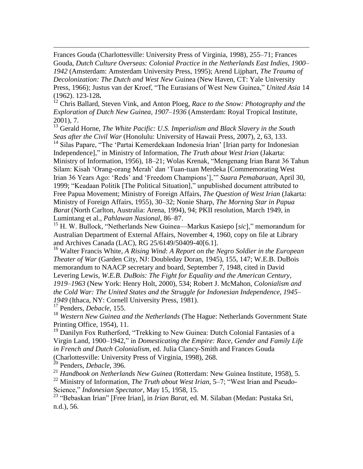Frances Gouda (Charlottesville: University Press of Virginia, 1998), 255–71; Frances Gouda, *Dutch Culture Overseas: Colonial Practice in the Netherlands East Indies, 1900– 1942* (Amsterdam: Amsterdam University Press, 1995); Arend Lijphart, *The Trauma of Decolonization: The Dutch and West New* Guinea (New Haven, CT: Yale University Press, 1966); Justus van der Kroef, "The Eurasians of West New Guinea," *United Asia* 14 (1962). 123-128**.**

<sup>12</sup> Chris Ballard, Steven Vink, and Anton Ploeg, *Race to the Snow: Photography and the Exploration of Dutch New Guinea, 1907–1936* (Amsterdam: Royal Tropical Institute, 2001), 7.

<sup>13</sup> Gerald Horne, *The White Pacific: U.S. Imperialism and Black Slavery in the South Seas after the Civil War* (Honolulu: University of Hawaii Press, 2007), 2, 63, 133.

<sup>14</sup> Silas Papare, "The 'Partai Kemerdekaan Indonesia Irian' [Irian party for Indonesian Independence]," in Ministry of Information, *The Truth about West Irian* (Jakarta: Ministry of Information, 1956), 18–21; Wolas Krenak, "Mengenang Irian Barat 36 Tahun Silam: Kisah 'Orang-orang Merah' dan 'Tuan-tuan Merdeka [Commemorating West Irian 36 Years Ago: 'Reds' and 'Freedom Champions'],'" *Suara Pemabaruan*, April 30, 1999; "Keadaan Politik [The Political Situation]," unpublished document attributed to Free Papua Movement; Ministry of Foreign Affairs, *The Question of West Irian* (Jakarta: Ministry of Foreign Affairs, 1955), 30–32; Nonie Sharp, *The Morning Star in Papua Barat* (North Carlton, Australia: Arena, 1994), 94; PKII resolution, March 1949, in Lumintang et al., *Pahlawan Nasional*, 86–87.

<sup>15</sup> H. W. Bullock, "Netherlands New Guinea—Markus Kasiepo [*sic*]," memorandum for Australian Department of External Affairs, November 4, 1960, copy on file at Library and Archives Canada (LAC), RG 25/6149/50409-40[6.1].

<sup>16</sup> Walter Francis White*, A Rising Wind*: *A Report on the Negro Soldier in the European Theater of War* (Garden City, NJ: Doubleday Doran, 1945), 155, 147; W.E.B. DuBois memorandum to NAACP secretary and board, September 7, 1948, cited in David Levering Lewis, *W.E.B. DuBois: The Fight for Equality and the American Century, 1919–1963* (New York: Henry Holt, 2000), 534; Robert J. McMahon, *Colonialism and the Cold War: The United States and the Struggle for Indonesian Independence, 1945– 1949* (Ithaca, NY: Cornell University Press, 1981).

<sup>17</sup> Penders, *Debacle*, 155.

 $\overline{a}$ 

<sup>18</sup> *Western New Guinea and the Netherlands* (The Hague: Netherlands Government State Printing Office, 1954), 11.

 $19$  Danilyn Fox Rutherford, "Trekking to New Guinea: Dutch Colonial Fantasies of a Virgin Land, 1900–1942," in *Domesticating the Empire: Race, Gender and Family Life in French and Dutch Colonialism*, ed. Julia Clancy-Smith and Frances Gouda (Charlottesville: University Press of Virginia, 1998), 268.

<sup>20</sup> Penders, *Debacle*, 396.

<sup>21</sup> *Handbook on Netherlands New Guinea* (Rotterdam: New Guinea Institute, 1958), 5.

<sup>22</sup> Ministry of Information, *The Truth about West Irian*, 5–7; "West Irian and Pseudo-Science," *Indonesian Spectator*, May 15, 1958, 15.

<sup>23</sup> "Bebaskan Irian" [Free Irian], in *Irian Barat*, ed. M. Silaban (Medan: Pustaka Sri, n.d.), 56.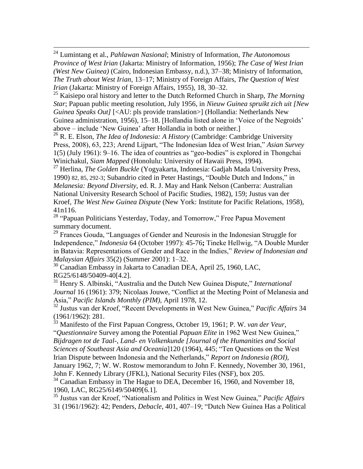<sup>24</sup> Lumintang et al., *Pahlawan Nasional*; Ministry of Information, *The Autonomous Province of West Irian* (Jakarta: Ministry of Information, 1956); *The Case of West Irian (West New Guinea)* (Cairo, Indonesian Embassy, n.d.), 37–38; Ministry of Information, *The Truth about West Irian,* 13–17; Ministry of Foreign Affairs, *The Question of West Irian* (Jakarta: Ministry of Foreign Affairs, 1955), 18, 30–32.

 $\overline{a}$ 

<sup>25</sup> Kaisiepo oral history and letter to the Dutch Reformed Church in Sharp, *The Morning Star*; Papuan public meeting resolution, July 1956, in *Nieuw Guinea spruikt zich uit [New Guinea Speaks Out]* [<AU: pls provide translation>] (Hollandia: Netherlands New Guinea administration, 1956), 15–18. [Hollandia listed alone in 'Voice of the Negroids' above – include 'New Guinea' after Hollandia in both or neither.]

<sup>26</sup> R. E. Elson, *The Idea of Indonesia: A History* (Cambridge: Cambridge University Press, 2008), 63, 223; Arend Lijpart, "The Indonesian Idea of West Irian," *Asian Survey* 1(5) (July 1961): 9–16. The idea of countries as "geo-bodies" is explored in Thongchai Winichakul, *Siam Mapped* (Honolulu: University of Hawaii Press, 1994).

<sup>27</sup> Herlina, *The Golden Buckle* (Yogyakarta, Indonesia: Gadjah Mada University Press, 1990) 82, 85, 292-3; Subandrio cited in Peter Hastings, "Double Dutch and Indons," in *Melanesia: Beyond Diversity,* ed. R. J. May and Hank Nelson (Canberra: Australian National University Research School of Pacific Studies, 1982), 159; Justus van der Kroef, *The West New Guinea Dispute* (New York: Institute for Pacific Relations, 1958), 41n116.

 $28$  "Papuan Politicians Yesterday, Today, and Tomorrow," Free Papua Movement summary document.

<sup>29</sup> Frances Gouda, "Languages of Gender and Neurosis in the Indonesian Struggle for Independence," *Indonesia* 64 (October 1997): 45-76**;** Tineke Hellwig, "A Double Murder in Batavia: Representations of Gender and Race in the Indies," *Review of Indonesian and Malaysian Affairs* 35(2) (Summer 2001): 1–32.

<sup>30</sup> Canadian Embassy in Jakarta to Canadian DEA, April 25, 1960, LAC, RG25/6148/50409-40[4.2].

<sup>31</sup> Henry S. Albinski, "Australia and the Dutch New Guinea Dispute," *International Journal* 16 (1961): 379; Nicolaas Jouwe, "Conflict at the Meeting Point of Melanesia and Asia," *Pacific Islands Monthly (PIM),* April 1978, 12.

<sup>32</sup> Justus van der Kroef, "Recent Developments in West New Guinea," *Pacific Affairs* 34  $(1961/1962)$ : 281.

<sup>33</sup> Manifesto of the First Papuan Congress, October 19, 1961; P. W. *van der Veur,* "*Questionnaire* Survey among the Potential *Papuan Elite* in 1962 West New Guinea," *Bijdragen tot de Taal-, Land- en Volkenkunde [Journal of the Humanities and Social Sciences of Southeast Asia and Oceania*]120 (1964), 445; "Ten Questions on the West Irian Dispute between Indonesia and the Netherlands," *Report on Indonesia (ROI),* January 1962, 7; W. W. Rostow memorandum to John F. Kennedy, November 30, 1961, John F. Kennedy Library (JFKL), National Security Files (NSF), box 205.

<sup>34</sup> Canadian Embassy in The Hague to DEA, December 16, 1960, and November 18, 1960, LAC, RG25/6149/50409[6.1].

<sup>35</sup> Justus van der Kroef, "Nationalism and Politics in West New Guinea," *Pacific Affairs*  31 (1961/1962): 42; Penders, *Debacle*, 401, 407–19; "Dutch New Guinea Has a Political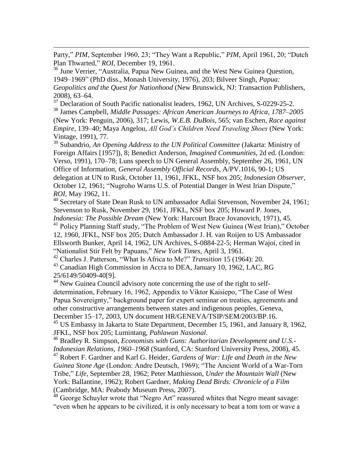Party," *PIM*, September 1960, 23; "They Want a Republic," *PIM*, April 1961, 20; "Dutch Plan Thwarted," *ROI*, December 19, 1961.

 $\overline{a}$ 

<sup>36</sup> June Verrier, "Australia, Papua New Guinea, and the West New Guinea Question, 1949–1969" (PhD diss., Monash University, 1976), 203; Bilveer Singh, *Papua: Geopolitics and the Quest for Nationhood* (New Brunswick, NJ: Transaction Publishers, 2008), 63–64.

 $37$  Declaration of South Pacific nationalist leaders, 1962, UN Archives, S-0229-25-2.

<sup>38</sup> James Campbell, *Middle Passages: African American Journeys to Africa, 1787–2005* (New York: Penguin, 2006), 317; Lewis, *W.E.B. DuBois*, 565; van Eschen, *Race against Empire*, 139–40; Maya Angelou, *All God's Children Need Traveling Shoes* (New York: Vintage, 1991), 77.

<sup>39</sup> Subandrio, *An Opening Address to the UN Political Committee* (Jakarta: Ministry of Foreign Affairs [1957]), 8; Benedict Anderson, *Imagined Communities*, 2d ed. (London: Verso, 1991), 170–78; Luns speech to UN General Assembly, September 26, 1961, UN Office of Information, *General Assembly Official Records*, A/PV.1016, 90-1; US delegation at UN to Rusk, October 11, 1961, JFKL, NSF box 205; *Indonesian Observer,* October 12, 1961; "Nugroho Warns U.S. of Potential Danger in West Irian Dispute," *ROI*, May 1962, 11.

 $40$  Secretary of State Dean Rusk to UN ambassador Adlai Stevenson, November 24, 1961; Stevenson to Rusk, November 29, 1961, JFKL, NSF box 205; Howard P. Jones, *Indonesia: The Possible Dream* (New York: Harcourt Brace Jovanovich, 1971), 45.

<sup>41</sup> Policy Planning Staff study, "The Problem of West New Guinea (West Irian)," October 12, 1960, JFKL, NSF box 205; Dutch Ambassador J. H. van Roijen to US Ambassador Ellsworth Bunker, April 14, 1962, UN Archives, S-0884-22-5; Herman Wajoi, cited in "Nationalist Stir Felt by Papuans," *New York Times*, April 3, 1961.

<sup>42</sup> Charles J. Patterson, "What Is Africa to Me?" *Transition* 15 (1964): 20.

 $^{43}$  Canadian High Commission in Accra to DEA, January 10, 1962, LAC, RG 25/6149/50409-40[9].

<sup>44</sup> New Guinea Council advisory note concerning the use of the right to selfdetermination, February 16, 1962, Appendix to Viktor Kaisiepo, "The Case of West Papua Sovereignty," background paper for expert seminar on treaties, agreements and other constructive arrangements between states and indigenous peoples, Geneva, December 15–17, 2003, UN document HR/GENEVA/TSIP/SEM/2003/BP.16.

<sup>45</sup> US Embassy in Jakarta to State Department, December 15, 1961, and January 8, 1962, JFKL, NSF box 205; Lumintang, *Pahlawan Nasional*.

<sup>46</sup> Bradley R. Simpson, *Economists with Guns: Authoritarian Development and U.S.- Indonesian Relations, 1960–1968* (Stanford, CA: Stanford University Press, 2008), 45.

<sup>47</sup> Robert F. Gardner and Karl G. Heider, *Gardens of War: Life and Death in the New Guinea Stone Age* (London: Andre Deutsch, 1969); "The Ancient World of a War-Torn Tribe," *Life*, September 28, 1962; Peter Matthiesson, *Under the Mountain Wall* (New York: Ballantine, 1962); Robert Gardner, *Making Dead Birds: Chronicle of a Film* (Cambridge, MA: Peabody Museum Press, 2007).

<sup>48</sup> George Schuyler wrote that "Negro Art" reassured whites that Negro meant savage: "even when he appears to be civilized, it is only necessary to beat a tom tom or wave a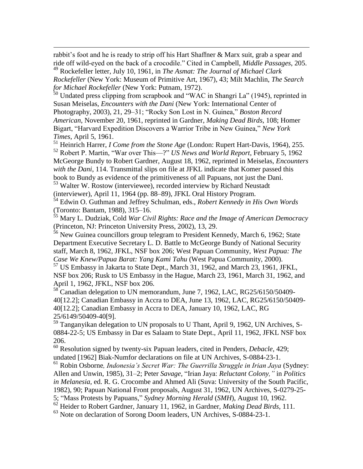rabbit's foot and he is ready to strip off his Hart Shaffner & Marx suit, grab a spear and ride off wild-eyed on the back of a crocodile." Cited in Campbell, *Middle Passages*, 205.

 $\overline{a}$ 

<sup>49</sup> Rockefeller letter, July 10, 1961, in *The Asmat: The Journal of Michael Clark Rockefeller* (New York: Museum of Primitive Art, 1967), 43; Milt Machlin, *The Search for Michael Rockefeller* (New York: Putnam, 1972).

 $50$  Undated press clipping from scrapbook and "WAC in Shangri La" (1945), reprinted in Susan Meiselas, *Encounters with the Dani* (New York: International Center of Photography, 2003), 21, 29–31; "Rocky Son Lost in N. Guinea," *Boston Record American*, November 20, 1961, reprinted in Gardner, *Making Dead Birds*, 108; Homer Bigart, "Harvard Expedition Discovers a Warrior Tribe in New Guinea," *New York Times*, April 5, 1961.

<sup>51</sup> Heinrich Harrer, *I Come from the Stone Age* (London: Rupert Hart-Davis, 1964), 255. <sup>52</sup> Robert P. Martin, "War over This—?" *US News and World Report*, February 5, 1962

McGeorge Bundy to Robert Gardner, August 18, 1962, reprinted in Meiselas, *Encounters with the Dani*, 114. Transmittal slips on file at JFKL indicate that Komer passed this book to Bundy as evidence of the primitiveness of all Papuans, not just the Dani.

 $\frac{53}{2}$  Walter W. Rostow (interviewee), recorded interview by Richard Neustadt (interviewer), April 11, 1964 (pp. 88–89), JFKL Oral History Program.

<sup>54</sup> Edwin O. Guthman and Jeffrey Schulman, eds., *Robert Kennedy in His Own Words* (Toronto: Bantam, 1988), 315–16.

<sup>55</sup> Mary L. Dudziak, Cold *War Civil Rights: Race and the Image of American Democracy* (Princeton, NJ: Princeton University Press, 2002), 13, 29.

<sup>56</sup> New Guinea councillors group telegram to President Kennedy, March 6, 1962; State Department Executive Secretary L. D. Battle to McGeorge Bundy of National Security staff, March 8, 1962, JFKL, NSF box 206; West Papuan Community, *West Papua: The Case We Knew/Papua Barat: Yang Kami Tahu* (West Papua Community, 2000).

<sup>57</sup> US Embassy in Jakarta to State Dept., March 31, 1962, and March 23, 1961, JFKL, NSF box 206; Rusk to US Embassy in the Hague, March 23, 1961, March 31, 1962, and April 1, 1962, JFKL, NSF box 206.

<sup>58</sup> Canadian delegation to UN memorandum, June 7, 1962, LAC, RG25/6150/50409-40[12.2]; Canadian Embassy in Accra to DEA, June 13, 1962, LAC, RG25/6150/50409- 40[12.2]; Canadian Embassy in Accra to DEA, January 10, 1962, LAC, RG 25/6149/50409-40[9].

<sup>59</sup> Tanganyikan delegation to UN proposals to U Thant, April 9, 1962, UN Archives, S-0884-22-5; US Embassy in Dar es Salaam to State Dept., April 11, 1962, JFKL NSF box 206.

<sup>60</sup> Resolution signed by twenty-six Papuan leaders, cited in Penders, *Debacle*, 429; undated [1962] Biak-Numfor declarations on file at UN Archives, S-0884-23-1.

<sup>61</sup> Robin Osborne*, Indonesia's Secret War: The Guerrilla Struggle in Irian Jaya* (Sydney: Allen and Unwin, 1985), 31–2; Peter *Savage,* "Irian Jaya: *Reluctant Colony,"* in *Politics in Melanesia,* ed. R. G. Crocombe and Ahmed Ali (Suva: University of the South Pacific, 1982), 90; Papuan National Front proposals, August 31, 1962, UN Archives, S-0279-25-

5; "Mass Protests by Papuans," *Sydney Morning Herald* (*SMH*), August 10, 1962.

<sup>62</sup> Heider to Robert Gardner, January 11, 1962, in Gardner, *Making Dead Birds*, 111.

 $63$  Note on declaration of Sorong Doom leaders, UN Archives, S-0884-23-1.